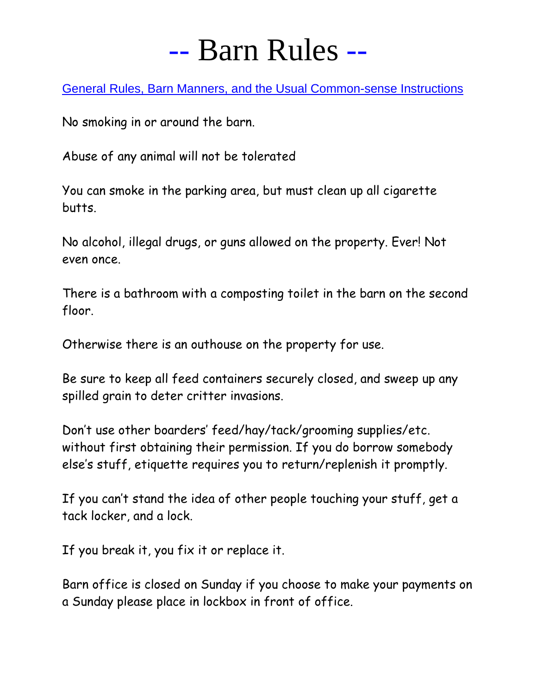# -- Barn Rules --

General Rules, Barn Manners, and the Usual Common-sense Instructions

No smoking in or around the barn.

Abuse of any animal will not be tolerated

You can smoke in the parking area, but must clean up all cigarette butts.

No alcohol, illegal drugs, or guns allowed on the property. Ever! Not even once.

There is a bathroom with a composting toilet in the barn on the second floor.

Otherwise there is an outhouse on the property for use.

Be sure to keep all feed containers securely closed, and sweep up any spilled grain to deter critter invasions.

Don't use other boarders' feed/hay/tack/grooming supplies/etc. without first obtaining their permission. If you do borrow somebody else's stuff, etiquette requires you to return/replenish it promptly.

If you can't stand the idea of other people touching your stuff, get a tack locker, and a lock.

If you break it, you fix it or replace it.

Barn office is closed on Sunday if you choose to make your payments on a Sunday please place in lockbox in front of office.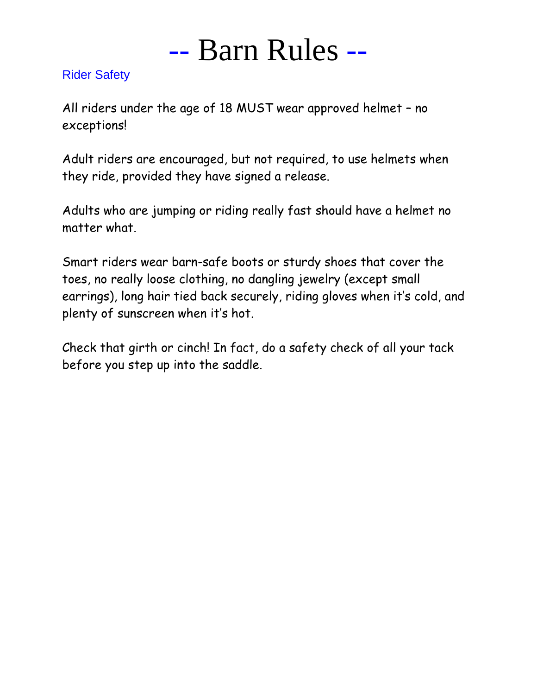

#### Rider Safety

All riders under the age of 18 MUST wear approved helmet – no exceptions!

Adult riders are encouraged, but not required, to use helmets when they ride, provided they have signed a release.

Adults who are jumping or riding really fast should have a helmet no matter what.

Smart riders wear barn-safe boots or sturdy shoes that cover the toes, no really loose clothing, no dangling jewelry (except small earrings), long hair tied back securely, riding gloves when it's cold, and plenty of sunscreen when it's hot.

Check that girth or cinch! In fact, do a safety check of all your tack before you step up into the saddle.